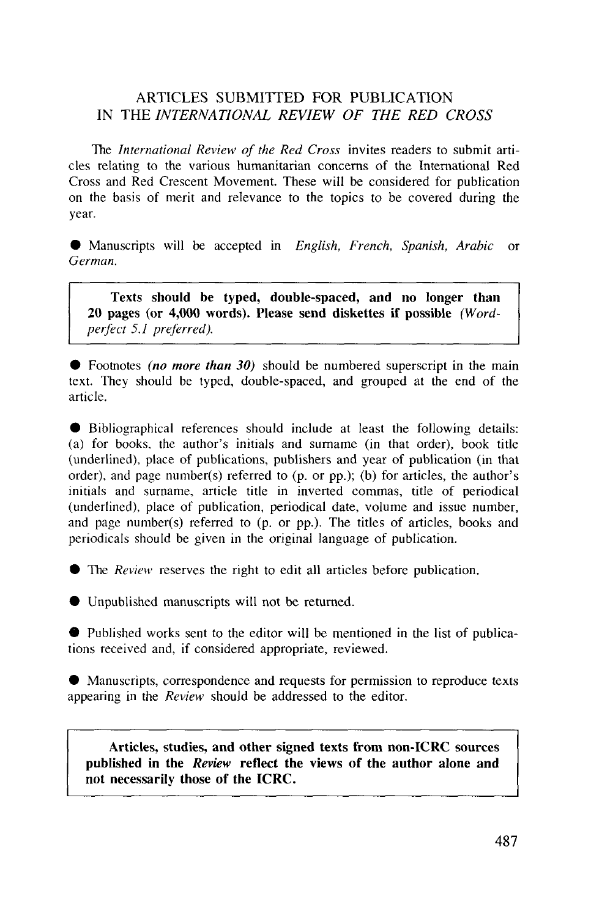#### ARTICLES SUBMITTED FOR PUBLICATION IN THE *INTERNATIONAL REVIEW OF THE RED CROSS*

The *International Review of the Red Cross* invites readers to submit articles relating to the various humanitarian concerns of the International Red Cross and Red Crescent Movement. These will be considered for publication on the basis of merit and relevance to the topics to be covered during the year.

9 Manuscripts will be accepted in *English, French, Spanish, Arabic* or *German.*

**Texts should be typed, double-spaced, and no longer than 20 pages (or 4,000 words). Please send diskettes if possible** *(Wordperfect 5.1 preferred).*

• Footnotes *(no more than 30)* should be numbered superscript in the main text. They should be typed, double-spaced, and grouped at the end of the article.

• Bibliographical references should include at least the following details: (a) for books, the author's initials and surname (in that order), book title (underlined), place of publications, publishers and year of publication (in that order), and page number(s) referred to (p. or pp.); (b) for articles, the author's initials and surname, article title in inverted commas, title of periodical (underlined), place of publication, periodical date, volume and issue number, and page number(s) referred to (p. or pp.). The titles of articles, books and periodicals should be given in the original language of publication.

• The *Review* reserves the right to edit all articles before publication.

• Unpublished manuscripts will not be returned.

• Published works sent to the editor will be mentioned in the list of publications received and, if considered appropriate, reviewed.

• Manuscripts, correspondence and requests for permission to reproduce texts appearing in the *Review* should be addressed to the editor.

**Articles, studies, and other signed texts from non-ICRC sources published in the** *Review* **reflect the views of the author alone and not necessarily those of the ICRC.**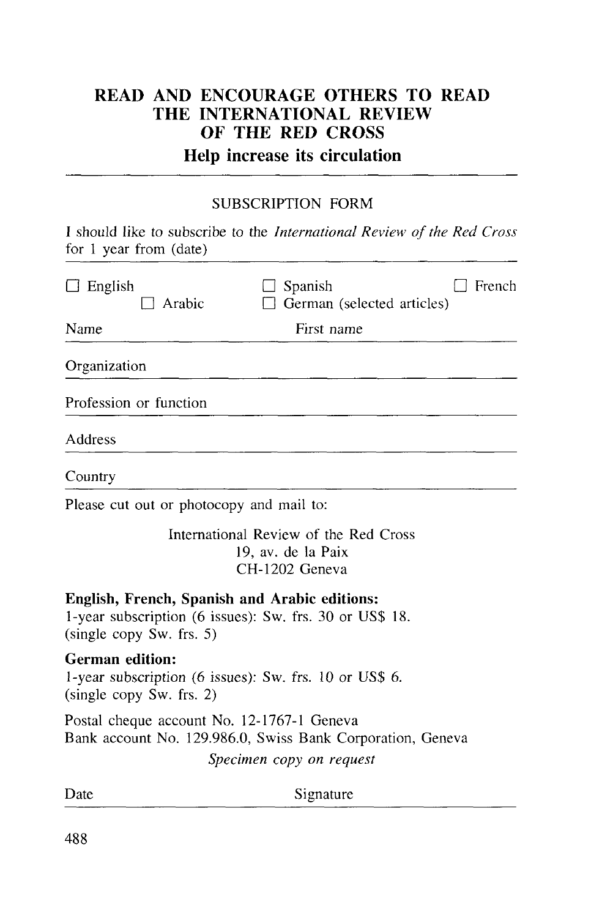# READ AND ENCOURAGE OTHERS TO READ THE INTERNATIONAL REVIEW OF THE RED CROSS

# Help increase its circulation

#### SUBSCRIPTION FORM

I should like to subscribe to the *International Review of the Red Cross* for 1 year from (date)

| $\Box$ English<br>∃ Arabic                                                                                   | Spanish<br>French<br>German (selected articles)                               |
|--------------------------------------------------------------------------------------------------------------|-------------------------------------------------------------------------------|
| Name                                                                                                         | First name                                                                    |
| Organization                                                                                                 |                                                                               |
| Profession or function                                                                                       |                                                                               |
| Address                                                                                                      |                                                                               |
| Country                                                                                                      |                                                                               |
| Please cut out or photocopy and mail to:                                                                     |                                                                               |
|                                                                                                              | International Review of the Red Cross<br>19, av. de la Paix<br>CH-1202 Geneva |
| English, French, Spanish and Arabic editions:<br>(single copy Sw. frs. 5)                                    | 1-year subscription (6 issues): Sw. frs. 30 or US\$ 18.                       |
| <b>German edition:</b><br>1-year subscription (6 issues): Sw. frs. 10 or US\$ 6.<br>(single copy Sw. frs. 2) |                                                                               |
| Postal cheque account No. 12-1767-1 Geneva                                                                   | Bank account No. 129.986.0, Swiss Bank Corporation, Geneva                    |
|                                                                                                              | Specimen copy on request                                                      |
| Date                                                                                                         | Signature                                                                     |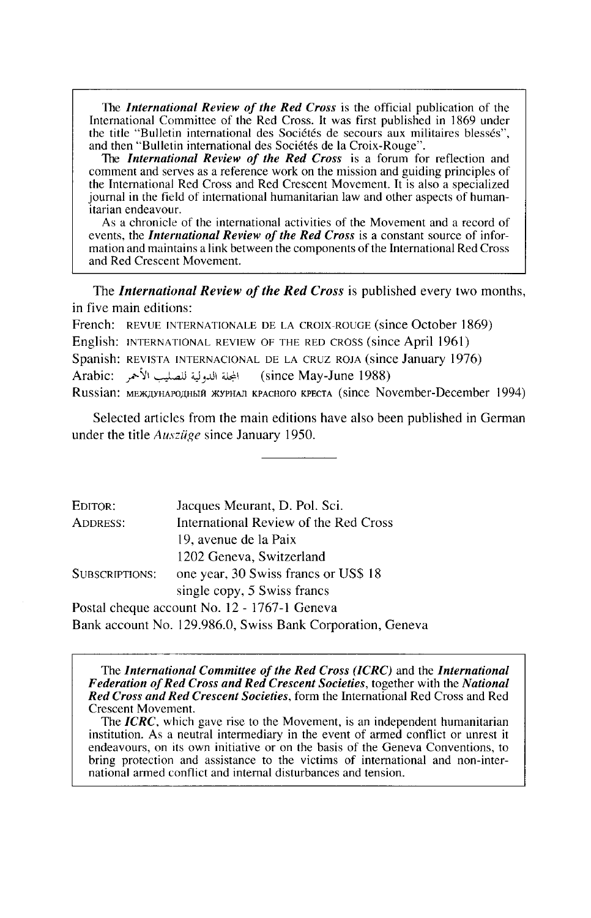The *International Review of the Red Cross* is the official publication of the International Committee of the Red Cross. It was first published in 1869 under the title "Bulletin international des Sociétés de secours aux mi

the International Red Cross and Red Crescent Movement. It is also a specialized journal in the field of international humanitarian law and other aspects of human- itarian endeavour.

As a chronicle of the international activities of the Movement and a record of events, the *International Review of the Red Cross* is a constant source of information and maintains a link between the components of the International Red Cross<br>and Red Crescent Movement.

The *International Review of the Red Cross* is published every two months, in five main editions:

French: REVUE INTERNATIONALE DE LA CROIX-ROUGE (since October 1869) English: INTERNATIONAL REVIEW OF THE RED CROSS (since April 1961) Spanish: REVISTA INTERNACIONAL DE LA CRUZ ROJA (since January 1976) Arabic: المحلة الله لية للصليب الأحمر (since May-June 1988) Russian: MEXATYHAPOAHIAJ XYPHAJI KPACHOTO KPECTA (since November-December 1994)

Selected articles from the main editions have also been published in German under the title *Ausziige* since January 1950.

| EDITOR:               | Jacques Meurant, D. Pol. Sci.                              |
|-----------------------|------------------------------------------------------------|
| ADDRESS:              | International Review of the Red Cross                      |
|                       | 19, avenue de la Paix                                      |
|                       | 1202 Geneva, Switzerland                                   |
| <b>SUBSCRIPTIONS:</b> | one year, 30 Swiss francs or US\$ 18                       |
|                       | single copy, 5 Swiss francs                                |
|                       | Postal cheque account No. 12 - 1767-1 Geneva               |
|                       | Bank account No. 129.986.0, Swiss Bank Corporation, Geneva |

The *International Committee of the Red Cross (ICRC)* and the *International Federation of Red Cross and Red Crescent Societies,* together with the *National Red Cross and Red Crescent Societies,* form the International Red Cross and Red

The *ICRC*, which gave rise to the Movement, is an independent humanitarian institution. As a neutral intermediary in the event of armed conflict or unrest it endeavours, on its own initiative or on the basis of the Geneva Conventions, to bring protection and assistance to the victims of international and non-inter- national armed conflict and internal disturbances and tension.